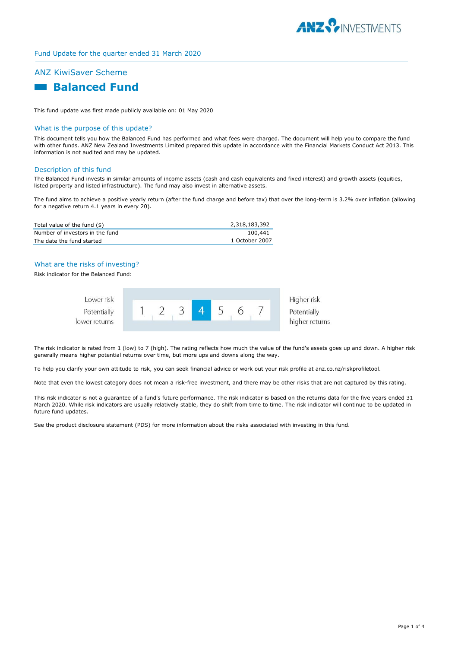

### Fund Update for the quarter ended 31 March 2020

# ANZ KiwiSaver Scheme



This fund update was first made publicly available on: 01 May 2020

## What is the purpose of this update?

This document tells you how the Balanced Fund has performed and what fees were charged. The document will help you to compare the fund with other funds. ANZ New Zealand Investments Limited prepared this update in accordance with the Financial Markets Conduct Act 2013. This information is not audited and may be updated.

#### Description of this fund

The Balanced Fund invests in similar amounts of income assets (cash and cash equivalents and fixed interest) and growth assets (equities, listed property and listed infrastructure). The fund may also invest in alternative assets.

The fund aims to achieve a positive yearly return (after the fund charge and before tax) that over the long-term is 3.2% over inflation (allowing for a negative return 4.1 years in every 20).

| Total value of the fund (\$)    | 2,318,183,392  |
|---------------------------------|----------------|
| Number of investors in the fund | 100,441        |
| The date the fund started       | 1 October 2007 |

## What are the risks of investing?

Risk indicator for the Balanced Fund:

| Lower risk                   |  |  |  | Higher risk                   |
|------------------------------|--|--|--|-------------------------------|
| Potentially<br>lower returns |  |  |  | Potentially<br>higher returns |
|                              |  |  |  |                               |

The risk indicator is rated from 1 (low) to 7 (high). The rating reflects how much the value of the fund's assets goes up and down. A higher risk generally means higher potential returns over time, but more ups and downs along the way.

To help you clarify your own attitude to risk, you can seek financial advice or work out your risk profile at anz.co.nz/riskprofiletool.

Note that even the lowest category does not mean a risk-free investment, and there may be other risks that are not captured by this rating.

This risk indicator is not a guarantee of a fund's future performance. The risk indicator is based on the returns data for the five years ended 31 March 2020. While risk indicators are usually relatively stable, they do shift from time to time. The risk indicator will continue to be updated in future fund updates.

See the product disclosure statement (PDS) for more information about the risks associated with investing in this fund.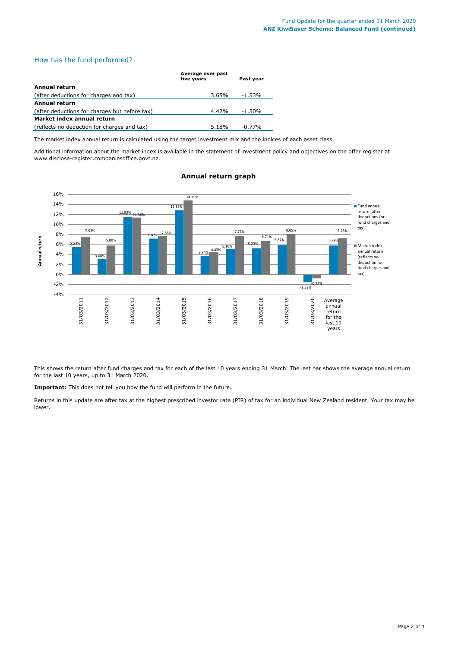## How has the fund performed?

|                                               | Average over past<br>five vears | Past vear |
|-----------------------------------------------|---------------------------------|-----------|
| Annual return                                 |                                 |           |
| (after deductions for charges and tax)        | 3.65%                           | -1.53%    |
| Annual return                                 |                                 |           |
| (after deductions for charges but before tax) | 4.42%                           | $-1.30\%$ |
| Market index annual return                    |                                 |           |
| (reflects no deduction for charges and tax)   | 5.18%                           | $-0.77%$  |

The market index annual return is calculated using the target investment mix and the indices of each asset class.

Additional information about the market index is available in the statement of investment policy and objectives on the offer register at www.disclose-register.companiesoffice.govt.nz.



## **Annual return graph**

This shows the return after fund charges and tax for each of the last 10 years ending 31 March. The last bar shows the average annual return for the last 10 years, up to 31 March 2020.

**Important:** This does not tell you how the fund will perform in the future.

Returns in this update are after tax at the highest prescribed investor rate (PIR) of tax for an individual New Zealand resident. Your tax may be lower.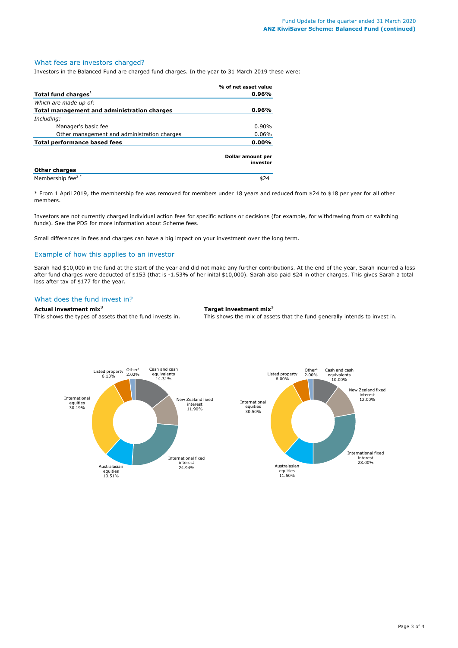#### What fees are investors charged?

Investors in the Balanced Fund are charged fund charges. In the year to 31 March 2019 these were:

|                                             | % of net asset value          |
|---------------------------------------------|-------------------------------|
| Total fund charges <sup>1</sup>             | 0.96%                         |
| Which are made up of:                       |                               |
| Total management and administration charges | 0.96%                         |
| Including:                                  |                               |
| Manager's basic fee                         | $0.90\%$                      |
| Other management and administration charges | $0.06\%$                      |
| <b>Total performance based fees</b>         | $0.00\%$                      |
|                                             | Dollar amount per<br>investor |
| <b>Other charges</b>                        |                               |
| Membership fee <sup>2*</sup>                |                               |

\* From 1 April 2019, the membership fee was removed for members under 18 years and reduced from \$24 to \$18 per year for all other members.

Investors are not currently charged individual action fees for specific actions or decisions (for example, for withdrawing from or switching funds). See the PDS for more information about Scheme fees.

Small differences in fees and charges can have a big impact on your investment over the long term.

## Example of how this applies to an investor

Sarah had \$10,000 in the fund at the start of the year and did not make any further contributions. At the end of the year, Sarah incurred a loss after fund charges were deducted of \$153 (that is -1.53% of her inital \$10,000). Sarah also paid \$24 in other charges. This gives Sarah a total loss after tax of \$177 for the year.

#### What does the fund invest in?

#### **Actual investment mix<sup>3</sup> Target investment mix<sup>3</sup>**

This shows the types of assets that the fund invests in. This shows the mix of assets that the fund generally intends to invest in.